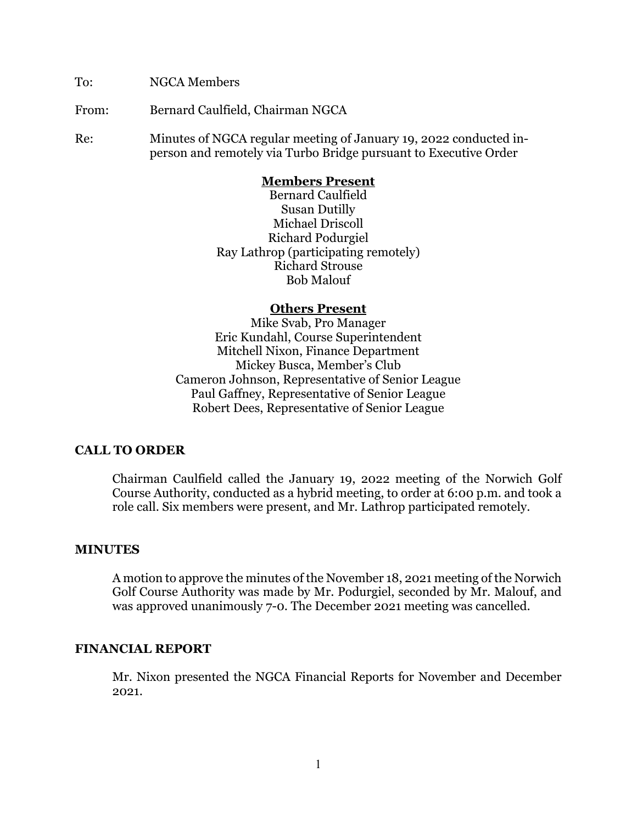To: NGCA Members

From: Bernard Caulfield, Chairman NGCA

Re: Minutes of NGCA regular meeting of January 19, 2022 conducted inperson and remotely via Turbo Bridge pursuant to Executive Order

#### **Members Present**

Bernard Caulfield Susan Dutilly Michael Driscoll Richard Podurgiel Ray Lathrop (participating remotely) Richard Strouse Bob Malouf

#### **Others Present**

Mike Svab, Pro Manager Eric Kundahl, Course Superintendent Mitchell Nixon, Finance Department Mickey Busca, Member's Club Cameron Johnson, Representative of Senior League Paul Gaffney, Representative of Senior League Robert Dees, Representative of Senior League

### **CALL TO ORDER**

Chairman Caulfield called the January 19, 2022 meeting of the Norwich Golf Course Authority, conducted as a hybrid meeting, to order at 6:00 p.m. and took a role call. Six members were present, and Mr. Lathrop participated remotely.

### **MINUTES**

A motion to approve the minutes of the November 18, 2021 meeting of the Norwich Golf Course Authority was made by Mr. Podurgiel, seconded by Mr. Malouf, and was approved unanimously 7-0. The December 2021 meeting was cancelled.

### **FINANCIAL REPORT**

Mr. Nixon presented the NGCA Financial Reports for November and December 2021.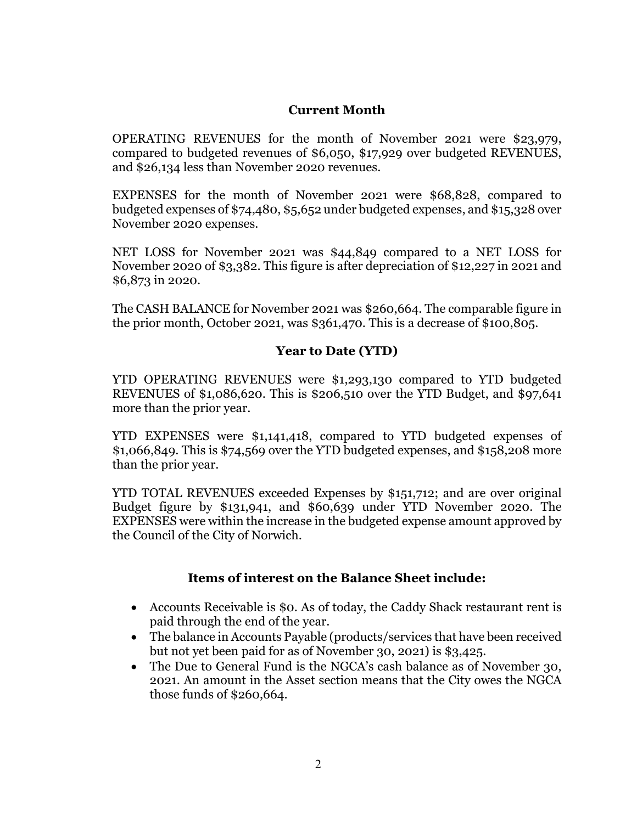### **Current Month**

OPERATING REVENUES for the month of November 2021 were \$23,979, compared to budgeted revenues of \$6,050, \$17,929 over budgeted REVENUES, and \$26,134 less than November 2020 revenues.

EXPENSES for the month of November 2021 were \$68,828, compared to budgeted expenses of \$74,480, \$5,652 under budgeted expenses, and \$15,328 over November 2020 expenses.

NET LOSS for November 2021 was \$44,849 compared to a NET LOSS for November 2020 of \$3,382. This figure is after depreciation of \$12,227 in 2021 and \$6,873 in 2020.

The CASH BALANCE for November 2021 was \$260,664. The comparable figure in the prior month, October 2021, was \$361,470. This is a decrease of \$100,805.

# **Year to Date (YTD)**

YTD OPERATING REVENUES were \$1,293,130 compared to YTD budgeted REVENUES of \$1,086,620. This is \$206,510 over the YTD Budget, and \$97,641 more than the prior year.

YTD EXPENSES were \$1,141,418, compared to YTD budgeted expenses of \$1,066,849. This is \$74,569 over the YTD budgeted expenses, and \$158,208 more than the prior year.

YTD TOTAL REVENUES exceeded Expenses by \$151,712; and are over original Budget figure by \$131,941, and \$60,639 under YTD November 2020. The EXPENSES were within the increase in the budgeted expense amount approved by the Council of the City of Norwich.

## **Items of interest on the Balance Sheet include:**

- Accounts Receivable is \$0. As of today, the Caddy Shack restaurant rent is paid through the end of the year.
- The balance in Accounts Payable (products/services that have been received but not yet been paid for as of November 30, 2021) is \$3,425.
- The Due to General Fund is the NGCA's cash balance as of November 30, 2021. An amount in the Asset section means that the City owes the NGCA those funds of \$260,664.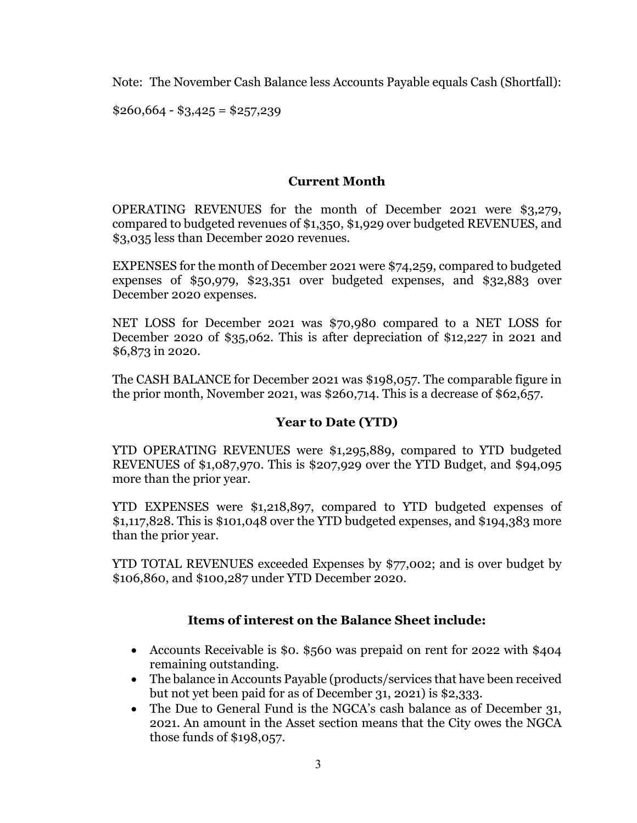Note: The November Cash Balance less Accounts Payable equals Cash (Shortfall):

 $$260,664 - $3,425 = $257,239$ 

# **Current Month**

OPERATING REVENUES for the month of December 2021 were \$3,279, compared to budgeted revenues of \$1,350, \$1,929 over budgeted REVENUES, and \$3,035 less than December 2020 revenues.

EXPENSES for the month of December 2021 were \$74,259, compared to budgeted expenses of \$50,979, \$23,351 over budgeted expenses, and \$32,883 over December 2020 expenses.

NET LOSS for December 2021 was \$70,980 compared to a NET LOSS for December 2020 of \$35,062. This is after depreciation of \$12,227 in 2021 and \$6,873 in 2020.

The CASH BALANCE for December 2021 was \$198,057. The comparable figure in the prior month, November 2021, was \$260,714. This is a decrease of \$62,657.

## **Year to Date (YTD)**

YTD OPERATING REVENUES were \$1,295,889, compared to YTD budgeted REVENUES of \$1,087,970. This is \$207,929 over the YTD Budget, and \$94,095 more than the prior year.

YTD EXPENSES were \$1,218,897, compared to YTD budgeted expenses of \$1,117,828. This is \$101,048 over the YTD budgeted expenses, and \$194,383 more than the prior year.

YTD TOTAL REVENUES exceeded Expenses by \$77,002; and is over budget by \$106,860, and \$100,287 under YTD December 2020.

## **Items of interest on the Balance Sheet include:**

- Accounts Receivable is \$0. \$560 was prepaid on rent for 2022 with \$404 remaining outstanding.
- The balance in Accounts Payable (products/services that have been received but not yet been paid for as of December 31, 2021) is \$2,333.
- The Due to General Fund is the NGCA's cash balance as of December 31, 2021. An amount in the Asset section means that the City owes the NGCA those funds of \$198,057.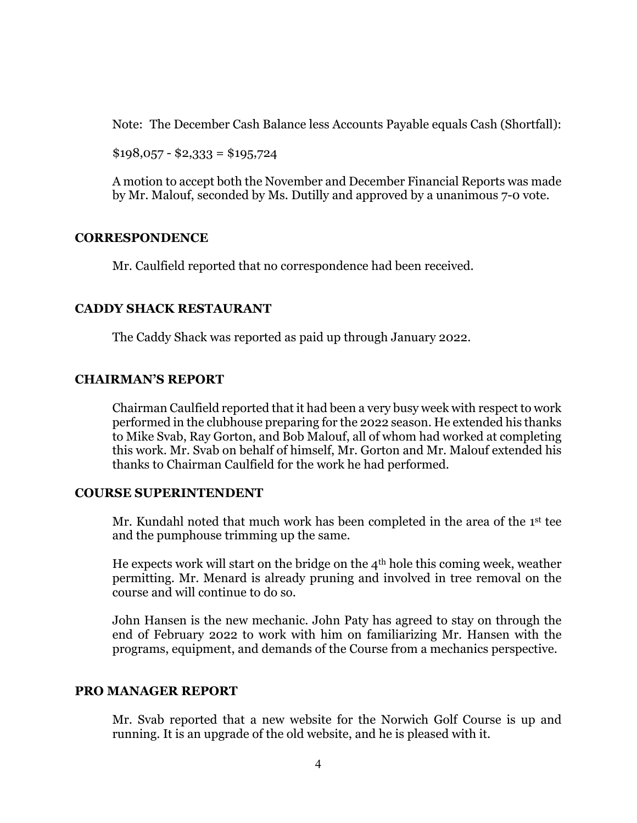Note: The December Cash Balance less Accounts Payable equals Cash (Shortfall):

 $$198,057 - $2,333 = $195,724$ 

A motion to accept both the November and December Financial Reports was made by Mr. Malouf, seconded by Ms. Dutilly and approved by a unanimous 7-0 vote.

### **CORRESPONDENCE**

Mr. Caulfield reported that no correspondence had been received.

### **CADDY SHACK RESTAURANT**

The Caddy Shack was reported as paid up through January 2022.

### **CHAIRMAN'S REPORT**

Chairman Caulfield reported that it had been a very busy week with respect to work performed in the clubhouse preparing for the 2022 season. He extended his thanks to Mike Svab, Ray Gorton, and Bob Malouf, all of whom had worked at completing this work. Mr. Svab on behalf of himself, Mr. Gorton and Mr. Malouf extended his thanks to Chairman Caulfield for the work he had performed.

### **COURSE SUPERINTENDENT**

Mr. Kundahl noted that much work has been completed in the area of the 1st tee and the pumphouse trimming up the same.

He expects work will start on the bridge on the  $4<sup>th</sup>$  hole this coming week, weather permitting. Mr. Menard is already pruning and involved in tree removal on the course and will continue to do so.

John Hansen is the new mechanic. John Paty has agreed to stay on through the end of February 2022 to work with him on familiarizing Mr. Hansen with the programs, equipment, and demands of the Course from a mechanics perspective.

### **PRO MANAGER REPORT**

Mr. Svab reported that a new website for the Norwich Golf Course is up and running. It is an upgrade of the old website, and he is pleased with it.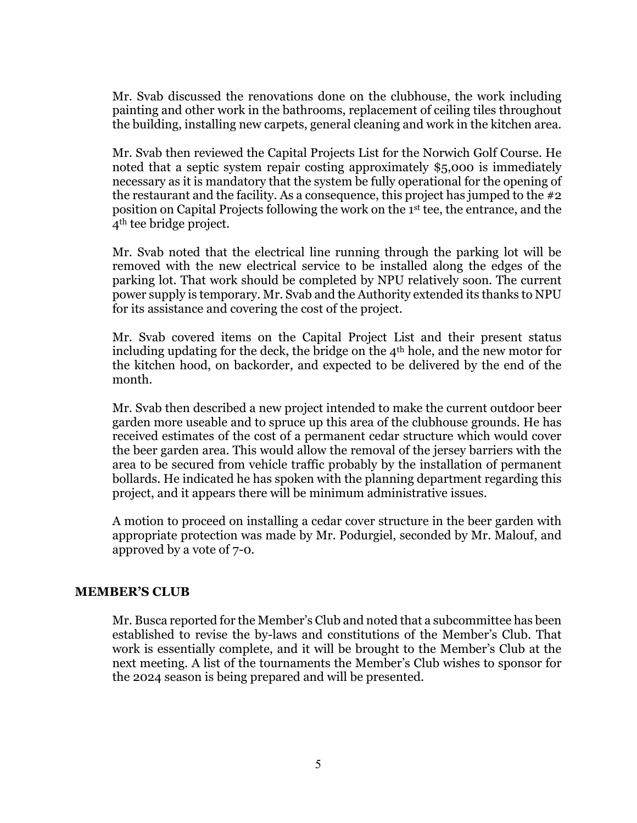Mr. Svab discussed the renovations done on the clubhouse, the work including painting and other work in the bathrooms, replacement of ceiling tiles throughout the building, installing new carpets, general cleaning and work in the kitchen area.

Mr. Svab then reviewed the Capital Projects List for the Norwich Golf Course. He noted that a septic system repair costing approximately \$5,000 is immediately necessary as it is mandatory that the system be fully operational for the opening of the restaurant and the facility. As a consequence, this project has jumped to the #2 position on Capital Projects following the work on the 1st tee, the entrance, and the 4th tee bridge project.

Mr. Svab noted that the electrical line running through the parking lot will be removed with the new electrical service to be installed along the edges of the parking lot. That work should be completed by NPU relatively soon. The current power supply is temporary. Mr. Svab and the Authority extended its thanks to NPU for its assistance and covering the cost of the project.

Mr. Svab covered items on the Capital Project List and their present status including updating for the deck, the bridge on the 4th hole, and the new motor for the kitchen hood, on backorder, and expected to be delivered by the end of the month.

Mr. Svab then described a new project intended to make the current outdoor beer garden more useable and to spruce up this area of the clubhouse grounds. He has received estimates of the cost of a permanent cedar structure which would cover the beer garden area. This would allow the removal of the jersey barriers with the area to be secured from vehicle traffic probably by the installation of permanent bollards. He indicated he has spoken with the planning department regarding this project, and it appears there will be minimum administrative issues.

A motion to proceed on installing a cedar cover structure in the beer garden with appropriate protection was made by Mr. Podurgiel, seconded by Mr. Malouf, and approved by a vote of 7-0.

### **MEMBER'S CLUB**

Mr. Busca reported for the Member's Club and noted that a subcommittee has been established to revise the by-laws and constitutions of the Member's Club. That work is essentially complete, and it will be brought to the Member's Club at the next meeting. A list of the tournaments the Member's Club wishes to sponsor for the 2024 season is being prepared and will be presented.